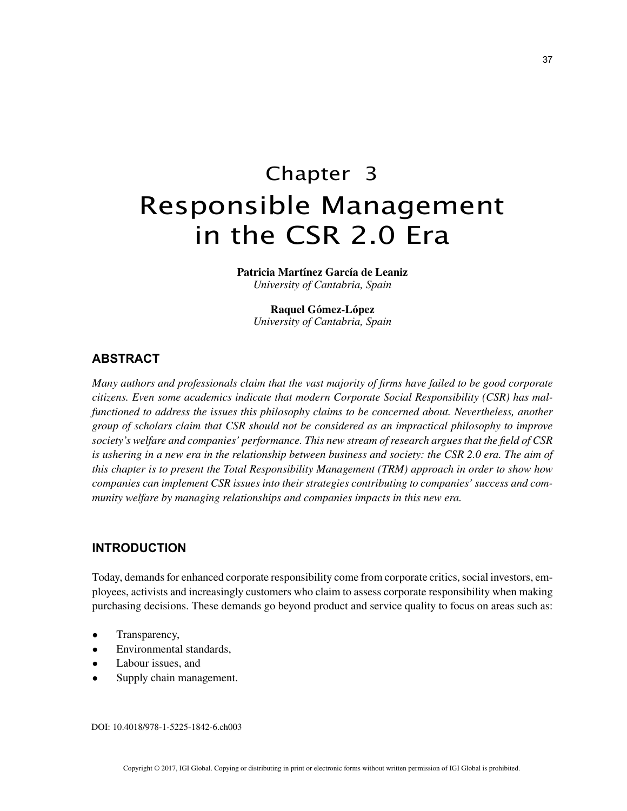# Chapter 3 Responsible Management in the CSR 2.0 Era

**Patricia Martínez García de Leaniz** *University of Cantabria, Spain*

**Raquel Gómez-López** *University of Cantabria, Spain*

## **ABSTRACT**

*Many authors and professionals claim that the vast majority of firms have failed to be good corporate citizens. Even some academics indicate that modern Corporate Social Responsibility (CSR) has malfunctioned to address the issues this philosophy claims to be concerned about. Nevertheless, another group of scholars claim that CSR should not be considered as an impractical philosophy to improve society's welfare and companies' performance. This new stream of research argues that the field of CSR*  is ushering in a new era in the relationship between business and society: the CSR 2.0 era. The aim of *this chapter is to present the Total Responsibility Management (TRM) approach in order to show how companies can implement CSR issues into their strategies contributing to companies' success and community welfare by managing relationships and companies impacts in this new era.*

# **INTRODUCTION**

Today, demands for enhanced corporate responsibility come from corporate critics, social investors, employees, activists and increasingly customers who claim to assess corporate responsibility when making purchasing decisions. These demands go beyond product and service quality to focus on areas such as:

- Transparency,
- Environmental standards,
- Labour issues, and
- Supply chain management.

DOI: 10.4018/978-1-5225-1842-6.ch003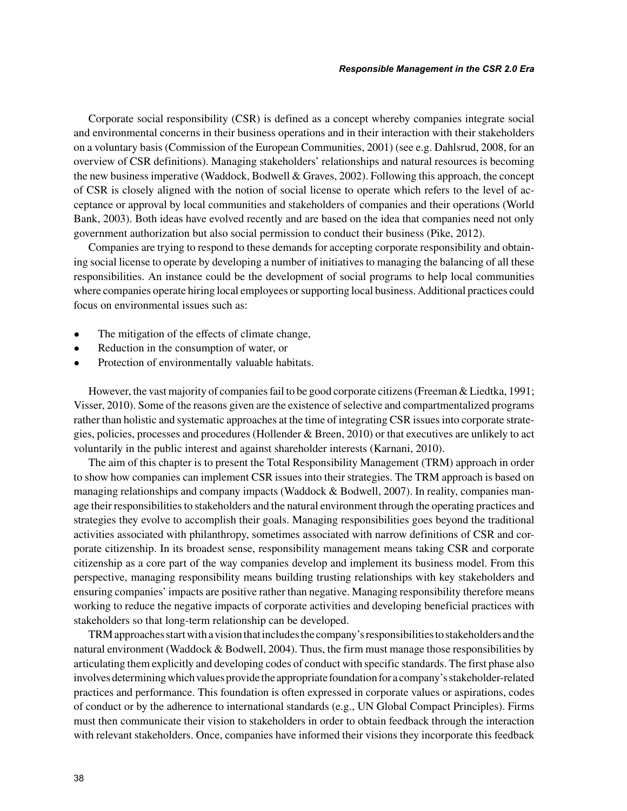Corporate social responsibility (CSR) is defined as a concept whereby companies integrate social and environmental concerns in their business operations and in their interaction with their stakeholders on a voluntary basis (Commission of the European Communities, 2001) (see e.g. Dahlsrud, 2008, for an overview of CSR definitions). Managing stakeholders' relationships and natural resources is becoming the new business imperative (Waddock, Bodwell & Graves, 2002). Following this approach, the concept of CSR is closely aligned with the notion of social license to operate which refers to the level of acceptance or approval by local communities and stakeholders of companies and their operations (World Bank, 2003). Both ideas have evolved recently and are based on the idea that companies need not only government authorization but also social permission to conduct their business (Pike, 2012).

Companies are trying to respond to these demands for accepting corporate responsibility and obtaining social license to operate by developing a number of initiatives to managing the balancing of all these responsibilities. An instance could be the development of social programs to help local communities where companies operate hiring local employees or supporting local business. Additional practices could focus on environmental issues such as:

- The mitigation of the effects of climate change,
- Reduction in the consumption of water, or
- Protection of environmentally valuable habitats.

However, the vast majority of companies fail to be good corporate citizens (Freeman & Liedtka, 1991; Visser, 2010). Some of the reasons given are the existence of selective and compartmentalized programs rather than holistic and systematic approaches at the time of integrating CSR issues into corporate strategies, policies, processes and procedures (Hollender & Breen, 2010) or that executives are unlikely to act voluntarily in the public interest and against shareholder interests (Karnani, 2010).

The aim of this chapter is to present the Total Responsibility Management (TRM) approach in order to show how companies can implement CSR issues into their strategies. The TRM approach is based on managing relationships and company impacts (Waddock  $&$  Bodwell, 2007). In reality, companies manage their responsibilities to stakeholders and the natural environment through the operating practices and strategies they evolve to accomplish their goals. Managing responsibilities goes beyond the traditional activities associated with philanthropy, sometimes associated with narrow definitions of CSR and corporate citizenship. In its broadest sense, responsibility management means taking CSR and corporate citizenship as a core part of the way companies develop and implement its business model. From this perspective, managing responsibility means building trusting relationships with key stakeholders and ensuring companies' impacts are positive rather than negative. Managing responsibility therefore means working to reduce the negative impacts of corporate activities and developing beneficial practices with stakeholders so that long-term relationship can be developed.

TRM approaches start with a vision that includes the company's responsibilities to stakeholders and the natural environment (Waddock & Bodwell, 2004). Thus, the firm must manage those responsibilities by articulating them explicitly and developing codes of conduct with specific standards. The first phase also involves determining which values provide the appropriate foundation for a company's stakeholder-related practices and performance. This foundation is often expressed in corporate values or aspirations, codes of conduct or by the adherence to international standards (e.g., UN Global Compact Principles). Firms must then communicate their vision to stakeholders in order to obtain feedback through the interaction with relevant stakeholders. Once, companies have informed their visions they incorporate this feedback